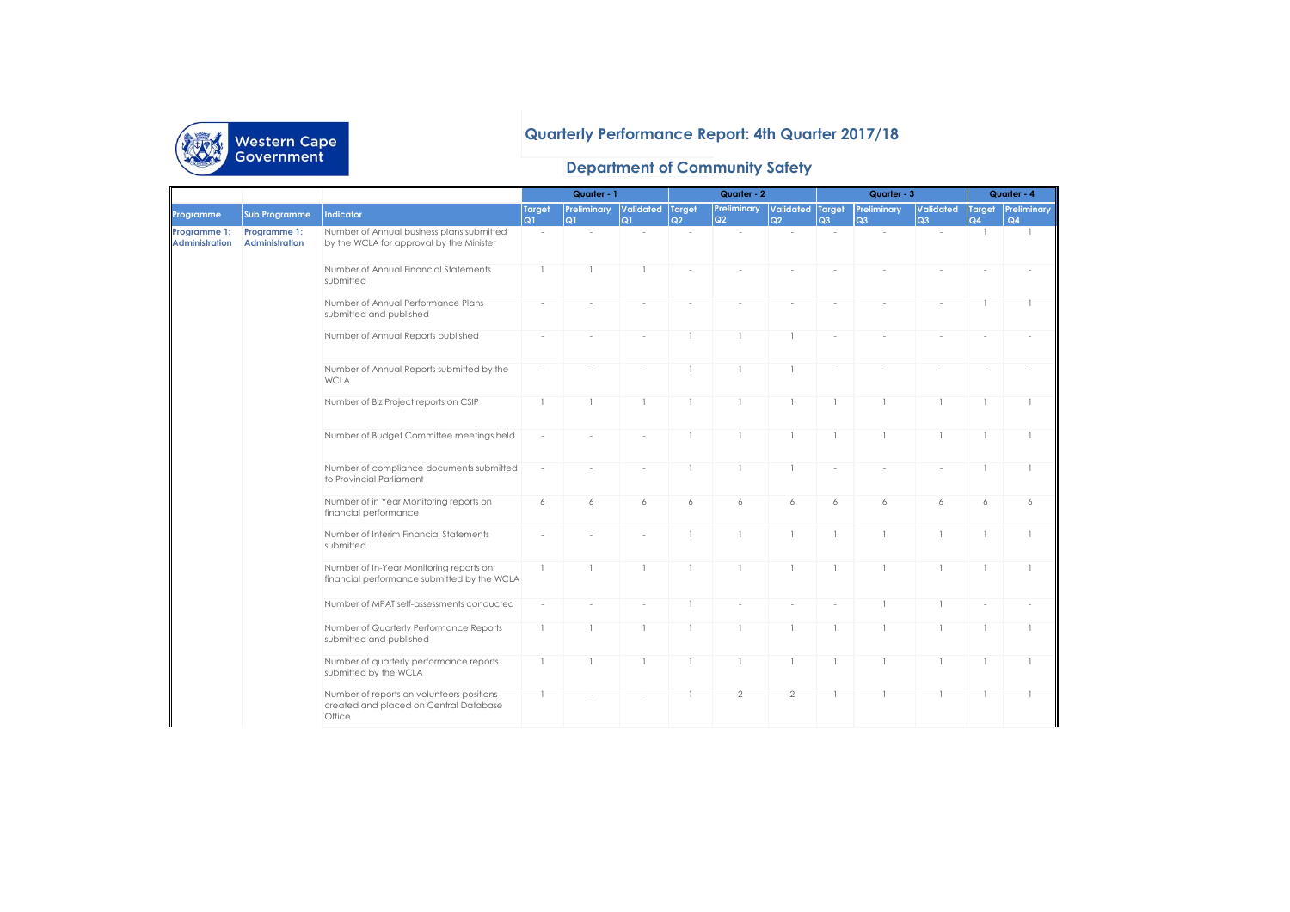

## **Quarterly Performance Report: 4th Quarter 2017/18**

## **Department of Community Safety**

|                                       |                                       |                                                                                               |                | Quarter - 1       |                         |                | Quarter - 2       |                        | Quarter - 3    |                   |                             | Quarter - 4                                                                                          |                                 |
|---------------------------------------|---------------------------------------|-----------------------------------------------------------------------------------------------|----------------|-------------------|-------------------------|----------------|-------------------|------------------------|----------------|-------------------|-----------------------------|------------------------------------------------------------------------------------------------------|---------------------------------|
| Programme                             | <b>Sub Programme</b>                  | Indicator                                                                                     | Target<br>Q1   | Preliminary<br>Q1 | Validated Target<br>lQ1 | Q2             | Preliminary<br>Q2 | Validated Target<br>Q2 | Q <sub>3</sub> | Preliminary<br>Q3 | Validated<br>Q <sub>3</sub> | Q4                                                                                                   | <b>Target Preliminary</b><br>Q4 |
| Programme 1:<br><b>Administration</b> | Programme 1:<br><b>Administration</b> | Number of Annual business plans submitted<br>by the WCLA for approval by the Minister         | ÷.             |                   | ÷                       |                | ÷.                | $\sim$                 |                |                   | $\sim$                      | $\overline{1}$                                                                                       | $\mathbf{1}$                    |
|                                       |                                       | Number of Annual Financial Statements<br>submitted                                            | $\overline{1}$ |                   |                         |                |                   |                        |                |                   |                             | $\mathbf{1}$<br>$\mathbf{1}$<br>$\mathbf{1}$<br>6<br>6<br>$\mathbf{1}$<br>-1<br>-1<br>$\overline{1}$ |                                 |
|                                       |                                       | Number of Annual Performance Plans<br>submitted and published                                 |                |                   |                         |                |                   |                        |                |                   |                             |                                                                                                      |                                 |
|                                       |                                       | Number of Annual Reports published                                                            |                |                   |                         |                |                   | $\mathbf{1}$           |                |                   |                             |                                                                                                      |                                 |
|                                       |                                       | Number of Annual Reports submitted by the<br><b>WCLA</b>                                      |                |                   |                         |                |                   | $\mathbf{1}$           |                |                   |                             |                                                                                                      |                                 |
|                                       |                                       | Number of Biz Project reports on CSIP                                                         | $\overline{1}$ |                   | 1                       | $\overline{1}$ |                   | $\mathbf{1}$           |                |                   |                             |                                                                                                      |                                 |
|                                       |                                       | Number of Budget Committee meetings held                                                      |                |                   |                         |                |                   | $\mathbf{1}$           |                |                   |                             |                                                                                                      |                                 |
|                                       |                                       | Number of compliance documents submitted<br>to Provincial Parliament                          | ÷              |                   |                         | -1             |                   | $\mathbf{1}$           | ÷              |                   |                             |                                                                                                      |                                 |
|                                       |                                       | Number of in Year Monitoring reports on<br>financial performance                              | 6              | 6                 | 6                       | 6              | 6                 | 6                      | 6              | 6                 |                             |                                                                                                      | 6                               |
|                                       |                                       | Number of Interim Financial Statements<br>submitted                                           |                |                   |                         |                |                   | $\mathbf{1}$           |                |                   |                             |                                                                                                      |                                 |
|                                       |                                       | Number of In-Year Monitoring reports on<br>financial performance submitted by the WCLA        | -1             | -1                | -1                      | $\overline{1}$ |                   | $\mathbf{1}$           |                | -1                |                             |                                                                                                      | -1                              |
|                                       |                                       | Number of MPAT self-assessments conducted                                                     |                |                   |                         |                |                   |                        |                |                   |                             |                                                                                                      |                                 |
|                                       |                                       | Number of Quarterly Performance Reports<br>submitted and published                            | $\mathbf{1}$   |                   | 1                       | $\overline{1}$ |                   | $\mathbf{1}$           | 1              |                   |                             |                                                                                                      |                                 |
|                                       |                                       | Number of quarterly performance reports<br>submitted by the WCLA                              | $\mathbf{1}$   |                   | $\mathbf{1}$            | -1             |                   | $\mathbf{1}$           |                |                   |                             |                                                                                                      |                                 |
|                                       |                                       | Number of reports on volunteers positions<br>created and placed on Central Database<br>Office |                |                   |                         |                | $\overline{2}$    | $\overline{2}$         |                |                   |                             |                                                                                                      |                                 |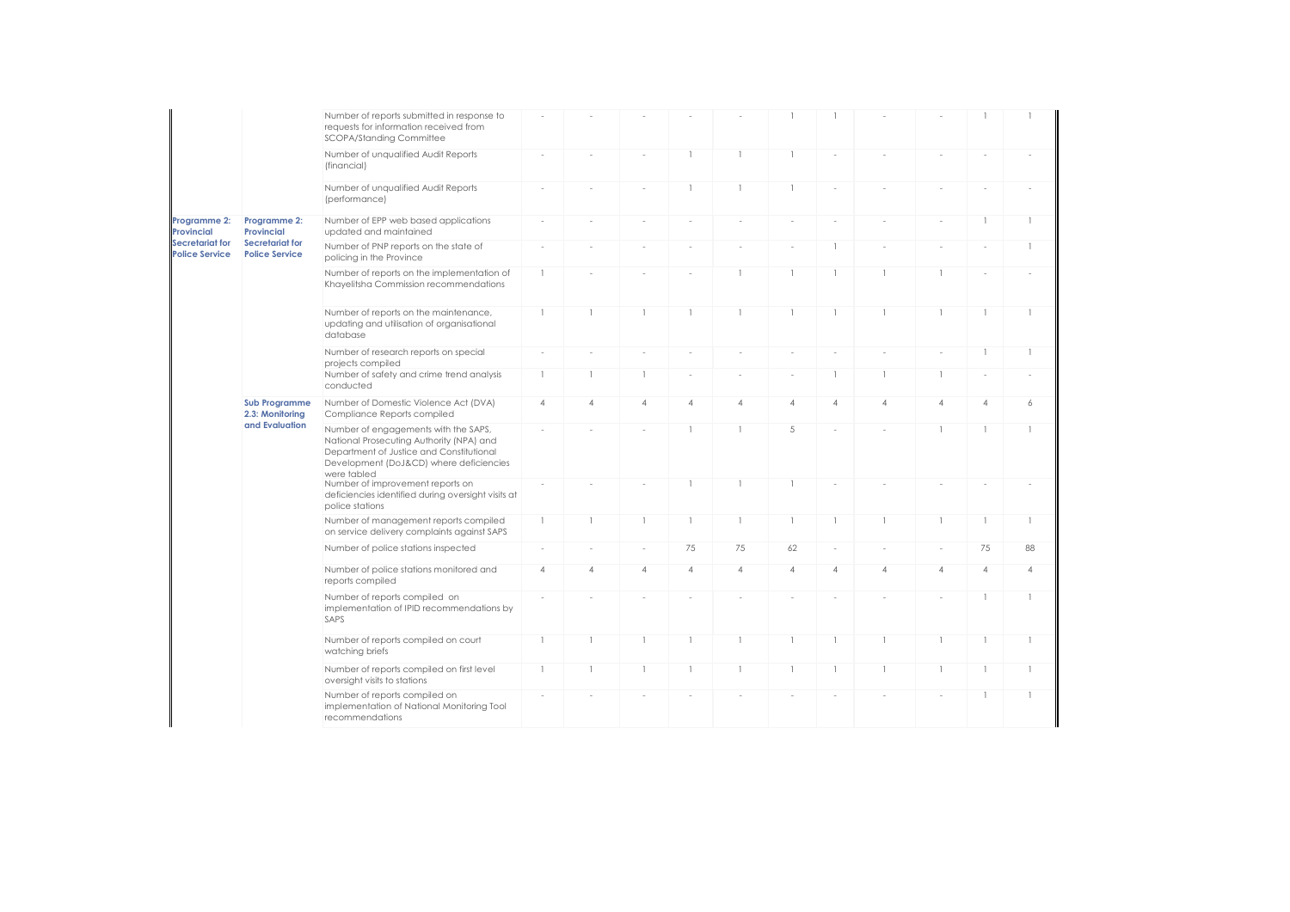|                                                      |                                                           | Number of reports submitted in response to<br>requests for information received from<br>SCOPA/Standing Committee                                                                       |                |                |                |                          |                |                |                |                |                                                                                                                                                                                                   |   |                          |
|------------------------------------------------------|-----------------------------------------------------------|----------------------------------------------------------------------------------------------------------------------------------------------------------------------------------------|----------------|----------------|----------------|--------------------------|----------------|----------------|----------------|----------------|---------------------------------------------------------------------------------------------------------------------------------------------------------------------------------------------------|---|--------------------------|
|                                                      |                                                           | Number of unqualified Audit Reports<br>(financial)                                                                                                                                     |                |                | $\sim$         | $\overline{1}$           | $\mathbf{1}$   | $\mathbf{1}$   | $\sim$         |                |                                                                                                                                                                                                   |   |                          |
|                                                      |                                                           | Number of unqualified Audit Reports<br>(performance)                                                                                                                                   |                |                |                | 1                        | $\mathbf{1}$   | $\mathbf{1}$   |                |                |                                                                                                                                                                                                   |   |                          |
| Programme 2:<br><b>Provincial</b><br>Secretariat for | Programme 2:<br><b>Provincial</b>                         | Number of EPP web based applications<br>updated and maintained                                                                                                                         |                |                |                |                          | ×.             |                |                |                |                                                                                                                                                                                                   |   | 1                        |
| <b>Police Service</b>                                | Secretariat for<br><b>Police Service</b>                  | Number of PNP reports on the state of<br>policing in the Province                                                                                                                      |                |                |                |                          | ä,             | i,             | -1             |                | $\mathbf{1}$<br>$\overline{1}$<br>-1<br>$\overline{4}$<br>$\overline{4}$<br>$\mathbf{1}$<br>$\mathbf{1}$<br>1<br>75<br>$\overline{4}$<br>$\overline{4}$<br>$\mathbf{1}$<br>1<br>$\mathbf{1}$<br>1 | 1 |                          |
|                                                      |                                                           | Number of reports on the implementation of<br>Khayelitsha Commission recommendations                                                                                                   | $\mathbf{1}$   |                |                |                          | $\mathbf{1}$   | $\mathbf{1}$   | $\mathbf{1}$   | $\mathbf{1}$   |                                                                                                                                                                                                   |   |                          |
|                                                      |                                                           | Number of reports on the maintenance,<br>updating and utilisation of organisational<br>database                                                                                        | $\mathbf{1}$   | $\mathbf{1}$   | $\mathbf{1}$   | $\mathbf{1}$             | $\mathbf{1}$   | $\mathbf{1}$   | $\mathbf{1}$   | $\mathbf{1}$   |                                                                                                                                                                                                   |   | $\overline{\phantom{a}}$ |
|                                                      |                                                           | Number of research reports on special<br>projects compiled                                                                                                                             |                |                |                |                          |                |                |                |                |                                                                                                                                                                                                   |   | 1                        |
|                                                      |                                                           | Number of safety and crime trend analysis<br>conducted                                                                                                                                 | $\mathbf{1}$   | $\overline{1}$ | $\mathbf{1}$   | $\overline{\phantom{a}}$ | ×              | $\sim$         | $\mathbf{1}$   | $\mathbf{1}$   |                                                                                                                                                                                                   |   |                          |
|                                                      | <b>Sub Programme</b><br>2.3: Monitorina<br>and Evaluation | Number of Domestic Violence Act (DVA)<br>Compliance Reports compiled                                                                                                                   | $\overline{4}$ | $\overline{4}$ | $\overline{4}$ | 4                        | $\overline{4}$ | $\overline{4}$ | $\overline{4}$ | $\overline{4}$ |                                                                                                                                                                                                   |   | 6                        |
|                                                      |                                                           | Number of engagements with the SAPS,<br>National Prosecuting Authority (NPA) and<br>Department of Justice and Constitutional<br>Development (DoJ&CD) where deficiencies<br>were tabled |                |                |                |                          | $\mathbf{1}$   | 5              |                |                |                                                                                                                                                                                                   |   | 1                        |
|                                                      |                                                           | Number of improvement reports on<br>deficiencies identified during oversight visits at<br>police stations                                                                              | $\sim$         |                |                | $\mathbf{1}$             | $\mathbf{1}$   | $\mathbf{1}$   |                |                |                                                                                                                                                                                                   |   |                          |
|                                                      |                                                           | Number of management reports compiled<br>on service delivery complaints against SAPS                                                                                                   | $\mathbf{1}$   | $\overline{1}$ | $\mathbf{1}$   | $\mathbf{1}$             | $\mathbf{1}$   | $\mathbf{1}$   |                | $\mathbf{1}$   |                                                                                                                                                                                                   |   | 1                        |
|                                                      |                                                           | Number of police stations inspected                                                                                                                                                    | $\sim$         |                | $\sim$         | 75                       | 75             | 62             | $\sim$         |                |                                                                                                                                                                                                   |   | 88                       |
|                                                      |                                                           | Number of police stations monitored and<br>reports compiled                                                                                                                            | $\overline{4}$ | $\overline{4}$ | $\overline{4}$ | $\overline{4}$           | $\overline{4}$ | $\overline{4}$ | $\overline{4}$ | $\overline{4}$ |                                                                                                                                                                                                   |   | 4                        |
|                                                      |                                                           | Number of reports compiled on<br>implementation of IPID recommendations by<br>SAPS                                                                                                     |                |                |                |                          |                |                |                |                |                                                                                                                                                                                                   |   |                          |
|                                                      |                                                           | Number of reports compiled on court<br>watching briefs                                                                                                                                 | $\overline{1}$ | $\mathbf{1}$   | -1             | 1                        | $\mathbf{1}$   | $\mathbf{1}$   |                | 1              |                                                                                                                                                                                                   |   | 1                        |
|                                                      |                                                           | Number of reports compiled on first level<br>oversight visits to stations                                                                                                              | $\overline{1}$ | $\overline{1}$ | $\mathbf{1}$   | 1                        | $\mathbf{1}$   | $\overline{1}$ | $\overline{1}$ | $\mathbf{1}$   |                                                                                                                                                                                                   |   | $\overline{\phantom{a}}$ |
|                                                      |                                                           | Number of reports compiled on<br>implementation of National Monitoring Tool<br>recommendations                                                                                         |                |                |                |                          |                |                |                |                |                                                                                                                                                                                                   |   | 1                        |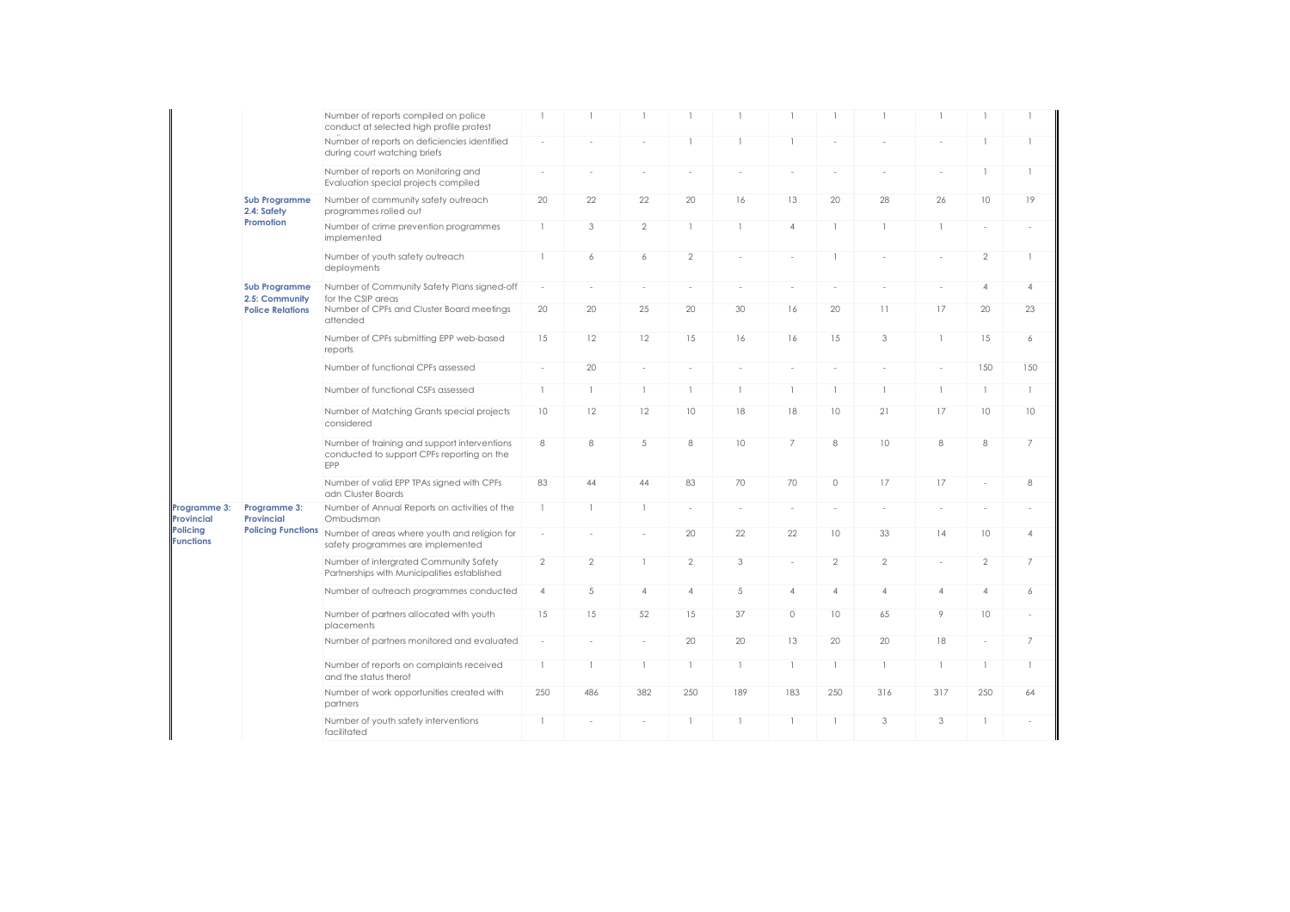|                            |                                        | Number of reports compiled on police<br>conduct at selected high profile protest                  | $\overline{1}$           | $\mathbf{1}$             |                          |                          |              | $\overline{1}$                        |                |                          |                | $\overline{1}$           |                          |
|----------------------------|----------------------------------------|---------------------------------------------------------------------------------------------------|--------------------------|--------------------------|--------------------------|--------------------------|--------------|---------------------------------------|----------------|--------------------------|----------------|--------------------------|--------------------------|
|                            |                                        | Number of reports on deficiencies identified<br>during court watching briefs                      | ×,                       |                          |                          | $\overline{1}$           |              | $\mathbf{1}$                          |                |                          |                | $\overline{1}$           | 1                        |
| Policing                   |                                        | Number of reports on Monitoring and<br>Evaluation special projects compiled                       | $\sim$                   |                          |                          | ÷.                       | ×.           | $\sim$                                | $\sim$         | $\sim$                   |                | $\overline{1}$           | $\mathbf{1}$             |
|                            | <b>Sub Programme</b><br>2.4: Safety    | Number of community safety outreach<br>programmes rolled out                                      | 20                       | 22                       | 22                       | 20                       | 16           | 13                                    | 20             | 28                       | 26             | 10                       | 19                       |
|                            | Promotion                              | Number of crime prevention programmes<br>implemented                                              | $\mathbf{1}$             | 3                        | $\overline{2}$           | $\overline{1}$           |              | $\overline{4}$                        |                | $\mathbf{1}$             |                | $\overline{\phantom{a}}$ | ٠                        |
|                            |                                        | Number of youth safety outreach<br>deployments                                                    | $\mathbf{1}$             | 6                        | 6                        | $\overline{2}$           | ×,           |                                       |                |                          |                | $\overline{2}$           | $\mathbf{1}$             |
|                            | <b>Sub Programme</b><br>2.5: Community | Number of Community Safety Plans signed-off<br>for the CSIP areas                                 | $\overline{\phantom{a}}$ | $\sim$                   | $\sim$                   | ÷,                       | ä,           | $\sim$                                | ä,             |                          |                | $\overline{4}$           | $\overline{4}$           |
|                            | <b>Police Relations</b>                | Number of CPFs and Cluster Board meetings<br>attended                                             | 20                       | 20                       | 25                       | 20                       | 30           | 16                                    | 20             | 11                       | 17             | 20                       | 23                       |
|                            |                                        | Number of CPFs submitting EPP web-based<br>reports                                                | 15                       | 12                       | 12                       | 15                       | 16           | 16                                    | 15             | 3                        | 1              | 15                       | 6                        |
|                            |                                        | Number of functional CPFs assessed                                                                | $\overline{\phantom{a}}$ | 20                       | $\sim$                   | $\sim$                   | ä,           | $\sim$                                | $\sim$         | $\overline{\phantom{a}}$ | $\sim$         | 150                      | 150                      |
|                            |                                        | Number of functional CSFs assessed                                                                | $\mathbf{1}$             | $\mathbf{1}$             | $\mathbf{1}$             | $\mathbf{1}$             | $\mathbf{1}$ | $\begin{array}{c} \hline \end{array}$ | $\mathbf{1}$   | $\mathbb{I}$             | $\mathbf{1}$   | $\overline{1}$           | $\mathbf{1}$             |
|                            |                                        | Number of Matching Grants special projects<br>considered                                          | 10                       | 12                       | 12                       | 10                       | 18           | 18                                    | 10             | 21                       | 17             | 10                       | 10                       |
|                            |                                        | Number of training and support interventions<br>conducted to support CPFs reporting on the<br>EPP | 8                        | 8                        | 5                        | 8                        | 10           | 7                                     | 8              | 10                       | 8              | 8                        | $\overline{7}$           |
|                            |                                        | Number of valid EPP TPAs signed with CPFs<br>adn Cluster Boards                                   | 83                       | 44                       | 44                       | 83                       | 70           | 70                                    | $\circ$        | 17                       | 17             | $\overline{\phantom{a}}$ | 8                        |
| Programme 3:<br>Provincial | Programme 3:<br><b>Provincial</b>      | Number of Annual Reports on activities of the<br>Ombudsman                                        | $\mathbf{1}$             | $\mathbf{1}$             | $\mathbf{1}$             | $\overline{\phantom{a}}$ | $\sim$       | $\sim$                                | ä,             | $\sim$                   |                |                          | $\overline{\phantom{a}}$ |
| <b>Functions</b>           | <b>Policing Functions</b>              | Number of areas where youth and religion for<br>safety programmes are implemented                 | $\overline{\phantom{a}}$ | $\overline{\phantom{a}}$ | $\overline{\phantom{a}}$ | 20                       | 22           | 22                                    | 10             | 33                       | 14             | 10                       | $\overline{4}$           |
|                            |                                        | Number of intergrated Community Safety<br>Partnerships with Municipalities established            | $\overline{2}$           | $\overline{2}$           | $\mathbf{1}$             | $\overline{2}$           | 3            | $\sim$                                | $\mathbf{2}$   | $\mathbf{2}$             |                | $\overline{2}$           | $\overline{7}$           |
|                            |                                        | Number of outreach programmes conducted                                                           | $\overline{4}$           | 5                        | $\overline{4}$           | $\overline{4}$           | 5            | $\overline{4}$                        | $\overline{4}$ | $\overline{4}$           | $\overline{4}$ | $\overline{4}$           | 6                        |
|                            |                                        | Number of partners allocated with youth<br>placements                                             | 15                       | 15                       | 52                       | 15                       | 37           | $\circ$                               | 10             | 65                       | 9              | 10                       | ×,                       |
|                            |                                        | Number of partners monitored and evaluated                                                        | $\overline{\phantom{a}}$ |                          | ÷.                       | 20                       | 20           | 13                                    | 20             | 20                       | 18             | $\sim$                   | $\overline{7}$           |
|                            |                                        | Number of reports on complaints received<br>and the status therof                                 | $\mathbf{1}$             | 1                        | -1                       | $\overline{1}$           | -1           | $\mathbf{1}$                          | 1              | $\mathbf{1}$             | $\mathbf{1}$   | $\overline{1}$           | $\mathbf{1}$             |
|                            |                                        | Number of work opportunities created with<br>partners                                             | 250                      | 486                      | 382                      | 250                      | 189          | 183                                   | 250            | 316                      | 317            | 250                      | 64                       |
|                            |                                        | Number of youth safety interventions<br>facilitated                                               | $\mathbf{1}$             | $\sim$                   | $\sim$                   | 1                        | -1           | $\mathbf{1}$                          | 1              | 3                        | 3              | -1                       | ä,                       |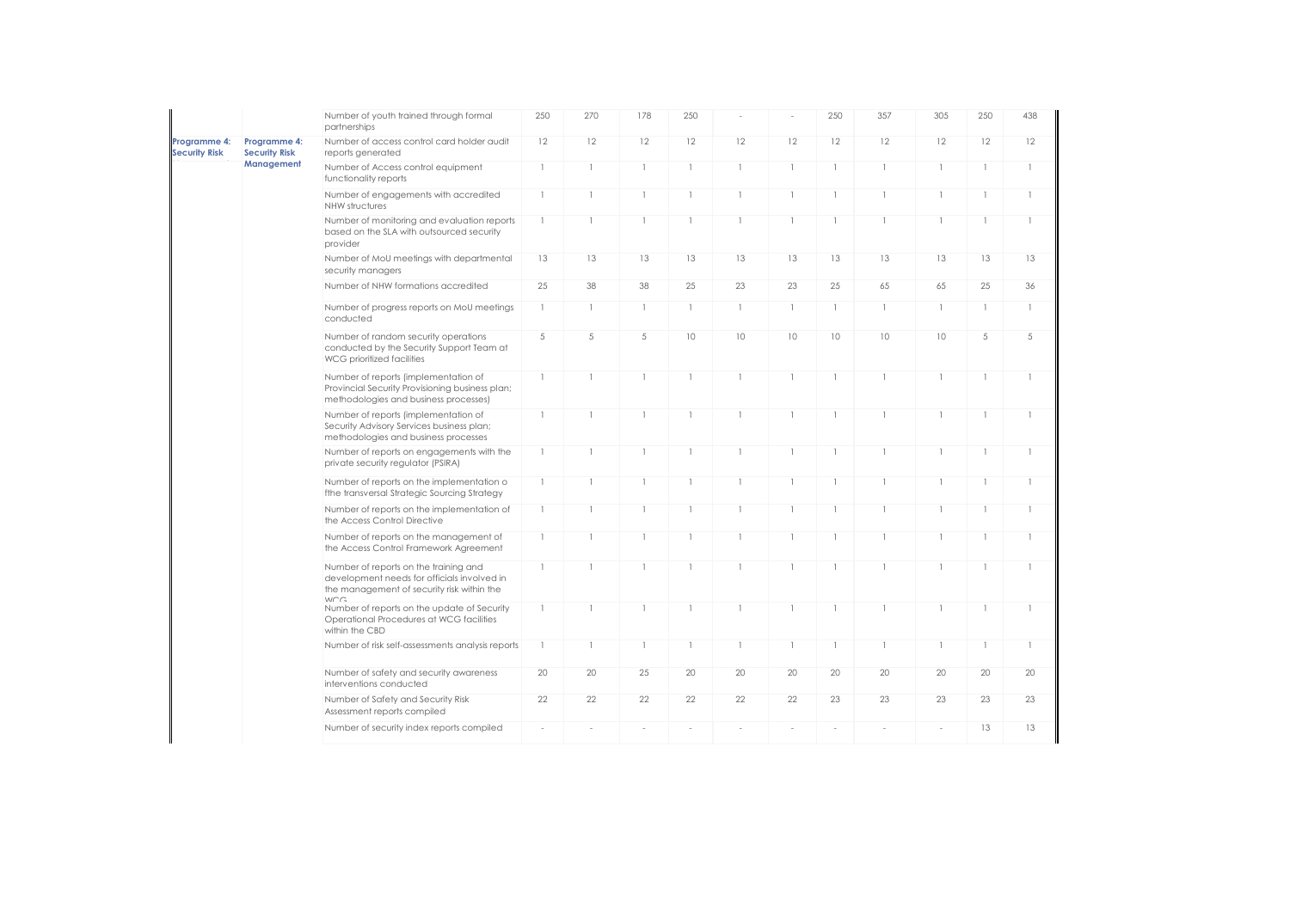|                                      |                                      | Number of youth trained through formal<br>partnerships                                                                                     | 250          | 270            | 178          | 250            |              |                | 250          | 357          | 305            | 250          | 438          |
|--------------------------------------|--------------------------------------|--------------------------------------------------------------------------------------------------------------------------------------------|--------------|----------------|--------------|----------------|--------------|----------------|--------------|--------------|----------------|--------------|--------------|
| Programme 4:<br><b>Security Risk</b> | Programme 4:<br><b>Security Risk</b> | Number of access control card holder audit<br>reports generated                                                                            | 12           | 12             | 12           | 12             | 12           | 12             | 12           | 12           | 12             | 12           | 12           |
|                                      | Management                           | Number of Access control equipment<br>functionality reports                                                                                | $\mathbf{1}$ | $\mathbf{1}$   | 1            | $\overline{1}$ |              | $\mathbf{1}$   | 1            | $\mathbf{1}$ | $\mathbf{1}$   | $\mathbf{1}$ | $\mathbb{I}$ |
|                                      |                                      | Number of engagements with accredited<br>NHW structures                                                                                    | $\mathbf{1}$ | $\overline{1}$ | $\mathbf{1}$ | $\mathbf{1}$   | $\mathbf{1}$ | $\mathbf{1}$   | $\mathbf{1}$ |              | $\mathbf{1}$   | $\mathbf{1}$ | $\mathbb{I}$ |
|                                      |                                      | Number of monitoring and evaluation reports<br>based on the SLA with outsourced security<br>provider                                       | $\mathbf{1}$ | $\mathbf{1}$   | 1            | $\overline{1}$ | $\mathbf{1}$ | $\mathbf{1}$   | -1           |              | $\mathbf{1}$   | $\mathbf{1}$ | $\mathbb{I}$ |
|                                      |                                      | Number of MoU meetings with departmental<br>security managers                                                                              | 13           | 13             | 13           | 13             | 13           | 13             | 13           | 13           | 13             | 13           | 13           |
|                                      |                                      | Number of NHW formations accredited                                                                                                        | 25           | 38             | 38           | 25             | 23           | 23             | 25           | 65           | 65             | 25           | 36           |
|                                      |                                      | Number of progress reports on MoU meetings<br>conducted                                                                                    | $\mathbf{1}$ | $\mathbf{1}$   | -1           | $\mathbf{1}$   | $\mathbf{1}$ | $\mathbf{1}$   | $\mathbf{1}$ | $\mathbf{1}$ | $\mathbf{1}$   | $\mathbf{1}$ | $\mathbb{I}$ |
|                                      |                                      | Number of random security operations<br>conducted by the Security Support Team at<br>WCG prioritized facilities                            | 5            | 5              | 5            | 10             | 10           | 10             | 10           | 10           | 10             | 5            | 5            |
|                                      |                                      | Number of reports (implementation of<br>Provincial Security Provisioning business plan;<br>methodologies and business processes)           | $\mathbb{I}$ | $\mathbf{1}$   | -1           | $\mathbf{1}$   | $\mathbf{1}$ | $\overline{1}$ | $\mathbf{1}$ |              | $\mathbf{1}$   | $\mathbf{1}$ | $\mathbf{1}$ |
|                                      |                                      | Number of reports (implementation of<br>Security Advisory Services business plan;<br>methodologies and business processes                  | $\mathbf{1}$ |                | $\mathbf{1}$ | $\overline{1}$ | $\mathbf{1}$ | $\overline{1}$ |              |              | $\mathbf{1}$   | $\mathbf{1}$ | $\mathbf{1}$ |
|                                      |                                      | Number of reports on engagements with the<br>private security regulator (PSIRA)                                                            | $\mathbf{1}$ | $\mathbf{1}$   | 1            | $\overline{1}$ | $\mathbf{1}$ | $\mathbf{1}$   | $\mathbf{1}$ |              | $\mathbf{1}$   | $\mathbf{1}$ | $\mathbf{1}$ |
|                                      |                                      | Number of reports on the implementation o<br>fthe transversal Strategic Sourcing Strategy                                                  | $\mathbf{1}$ | $\mathbf{1}$   | $\mathbf{1}$ | $\mathbf{1}$   | $\mathbf{1}$ | $\mathbf{1}$   | $\mathbf{1}$ |              | $\mathbf{1}$   | $\mathbf{1}$ | $\mathbb{I}$ |
|                                      |                                      | Number of reports on the implementation of<br>the Access Control Directive                                                                 | $\mathbf{1}$ |                |              | $\mathbf{I}$   | $\mathbf{1}$ | $\mathbf{1}$   |              |              | $\overline{1}$ | $\mathbf{1}$ | $\mathbb{I}$ |
|                                      |                                      | Number of reports on the management of<br>the Access Control Framework Agreement                                                           | $\mathbf{1}$ | $\mathbf{1}$   | 1            | $\mathbf{1}$   | 1            | -1             |              |              | $\mathbf{1}$   | $\mathbf{1}$ | $\mathbf{1}$ |
|                                      |                                      | Number of reports on the training and<br>development needs for officials involved in<br>the management of security risk within the<br>WCC. | $\mathbf{1}$ |                |              | $\overline{1}$ | $\mathbf{1}$ | $\overline{1}$ |              |              | $\overline{1}$ | $\mathbf{1}$ | $\mathbf{1}$ |
|                                      |                                      | Number of reports on the update of Security<br>Operational Procedures at WCG facilities<br>within the CBD                                  | $\mathbf{1}$ | $\overline{1}$ | $\mathbf{1}$ | $\mathbf{1}$   | $\mathbf{1}$ | $\overline{1}$ | $\mathbf{1}$ |              | $\mathbf{1}$   | $\mathbf{1}$ | 1            |
|                                      |                                      | Number of risk self-assessments analysis reports                                                                                           | $\mathbf{1}$ | $\mathbf{1}$   | 1            | $\mathbf{1}$   | $\mathbf{1}$ | $\mathbf{1}$   | $\mathbf{1}$ | $\mathbf{1}$ | $\mathbf{1}$   | $\mathbf{1}$ | $\mathbb{I}$ |
|                                      |                                      | Number of safety and security awareness<br>interventions conducted                                                                         | 20           | 20             | 25           | 20             | 20           | 20             | 20           | 20           | 20             | 20           | 20           |
|                                      |                                      | Number of Safety and Security Risk<br>Assessment reports compiled                                                                          | 22           | 22             | 22           | 22             | 22           | 22             | 23           | 23           | 23             | 23           | 23           |
|                                      |                                      | Number of security index reports compiled                                                                                                  | ÷.           |                |              |                |              |                |              |              | ÷              | 13           | 13           |